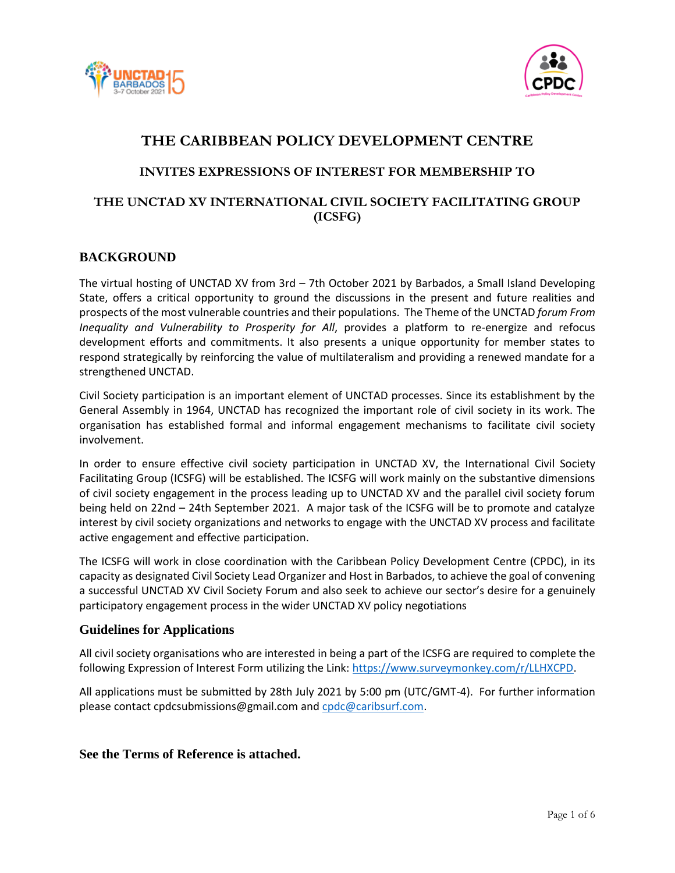



# **THE CARIBBEAN POLICY DEVELOPMENT CENTRE**

### **INVITES EXPRESSIONS OF INTEREST FOR MEMBERSHIP TO**

## **THE UNCTAD XV INTERNATIONAL CIVIL SOCIETY FACILITATING GROUP (ICSFG)**

## **BACKGROUND**

The virtual hosting of UNCTAD XV from 3rd – 7th October 2021 by Barbados, a Small Island Developing State, offers a critical opportunity to ground the discussions in the present and future realities and prospects of the most vulnerable countries and their populations. The Theme of the UNCTAD *forum From Inequality and Vulnerability to Prosperity for All*, provides a platform to re-energize and refocus development efforts and commitments. It also presents a unique opportunity for member states to respond strategically by reinforcing the value of multilateralism and providing a renewed mandate for a strengthened UNCTAD.

Civil Society participation is an important element of UNCTAD processes. Since its establishment by the General Assembly in 1964, UNCTAD has recognized the important role of civil society in its work. The organisation has established formal and informal engagement mechanisms to facilitate civil society involvement.

In order to ensure effective civil society participation in UNCTAD XV, the International Civil Society Facilitating Group (ICSFG) will be established. The ICSFG will work mainly on the substantive dimensions of civil society engagement in the process leading up to UNCTAD XV and the parallel civil society forum being held on 22nd – 24th September 2021. A major task of the ICSFG will be to promote and catalyze interest by civil society organizations and networks to engage with the UNCTAD XV process and facilitate active engagement and effective participation.

The ICSFG will work in close coordination with the Caribbean Policy Development Centre (CPDC), in its capacity as designated Civil Society Lead Organizer and Host in Barbados, to achieve the goal of convening a successful UNCTAD XV Civil Society Forum and also seek to achieve our sector's desire for a genuinely participatory engagement process in the wider UNCTAD XV policy negotiations

### **Guidelines for Applications**

All civil society organisations who are interested in being a part of the ICSFG are required to complete the following Expression of Interest Form utilizing the Link[: https://www.surveymonkey.com/r/LLHXCPD.](https://www.surveymonkey.com/r/LLHXCPD)

All applications must be submitted by 28th July 2021 by 5:00 pm (UTC/GMT-4). For further information please contact cpdcsubmissions@gmail.com and [cpdc@caribsurf.com.](mailto:cpdc@caribsurf.com)

### **See the Terms of Reference is attached.**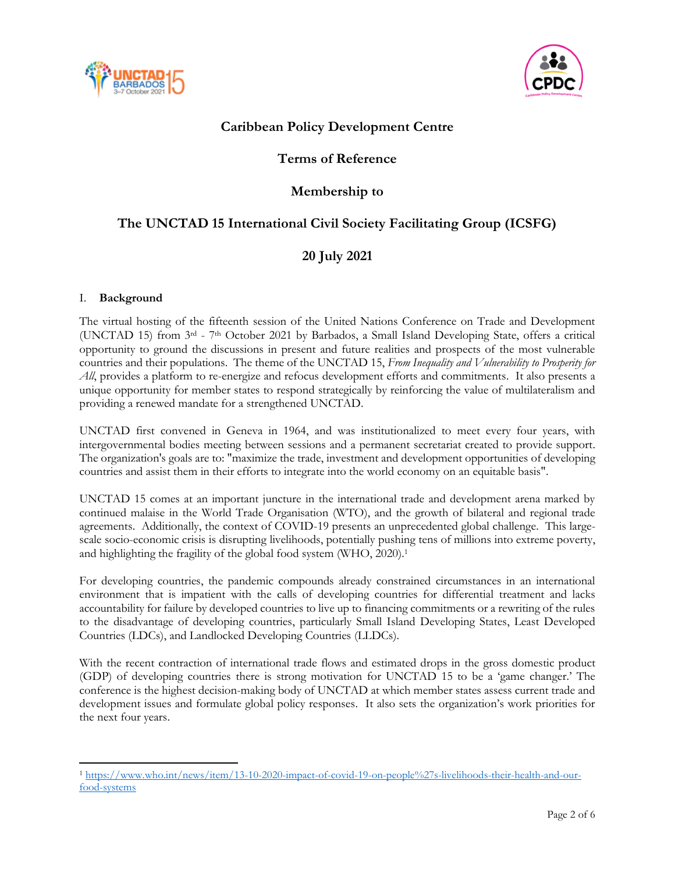



# **Caribbean Policy Development Centre**

# **Terms of Reference**

# **Membership to**

# **The UNCTAD 15 International Civil Society Facilitating Group (ICSFG)**

# **20 July 2021**

### I. **Background**

 $\overline{a}$ 

The virtual hosting of the fifteenth session of the United Nations Conference on Trade and Development (UNCTAD 15) from 3rd - 7th October 2021 by Barbados, a Small Island Developing State, offers a critical opportunity to ground the discussions in present and future realities and prospects of the most vulnerable countries and their populations. The theme of the UNCTAD 15, *From Inequality and Vulnerability to Prosperity for All*, provides a platform to re-energize and refocus development efforts and commitments. It also presents a unique opportunity for member states to respond strategically by reinforcing the value of multilateralism and providing a renewed mandate for a strengthened UNCTAD.

UNCTAD first convened in Geneva in 1964, and was institutionalized to meet every four years, with intergovernmental bodies meeting between sessions and a permanent secretariat created to provide support. The organization's goals are to: "maximize the trade, investment and development opportunities of developing countries and assist them in their efforts to integrate into the world economy on an equitable basis".

UNCTAD 15 comes at an important juncture in the international trade and development arena marked by continued malaise in the World Trade Organisation (WTO), and the growth of bilateral and regional trade agreements. Additionally, the context of COVID-19 presents an unprecedented global challenge. This largescale socio-economic crisis is disrupting livelihoods, potentially pushing tens of millions into extreme poverty, and highlighting the fragility of the global food system (WHO, 2020).<sup>1</sup>

For developing countries, the pandemic compounds already constrained circumstances in an international environment that is impatient with the calls of developing countries for differential treatment and lacks accountability for failure by developed countries to live up to financing commitments or a rewriting of the rules to the disadvantage of developing countries, particularly Small Island Developing States, Least Developed Countries (LDCs), and Landlocked Developing Countries (LLDCs).

With the recent contraction of international trade flows and estimated drops in the gross domestic product (GDP) of developing countries there is strong motivation for UNCTAD 15 to be a 'game changer.' The conference is the highest decision-making body of UNCTAD at which member states assess current trade and development issues and formulate global policy responses. It also sets the organization's work priorities for the next four years.

<sup>1</sup> [https://www.who.int/news/item/13-10-2020-impact-of-covid-19-on-people%27s-livelihoods-their-health-and-our](https://www.who.int/news/item/13-10-2020-impact-of-covid-19-on-people%27s-livelihoods-their-health-and-our-food-systems)[food-systems](https://www.who.int/news/item/13-10-2020-impact-of-covid-19-on-people%27s-livelihoods-their-health-and-our-food-systems)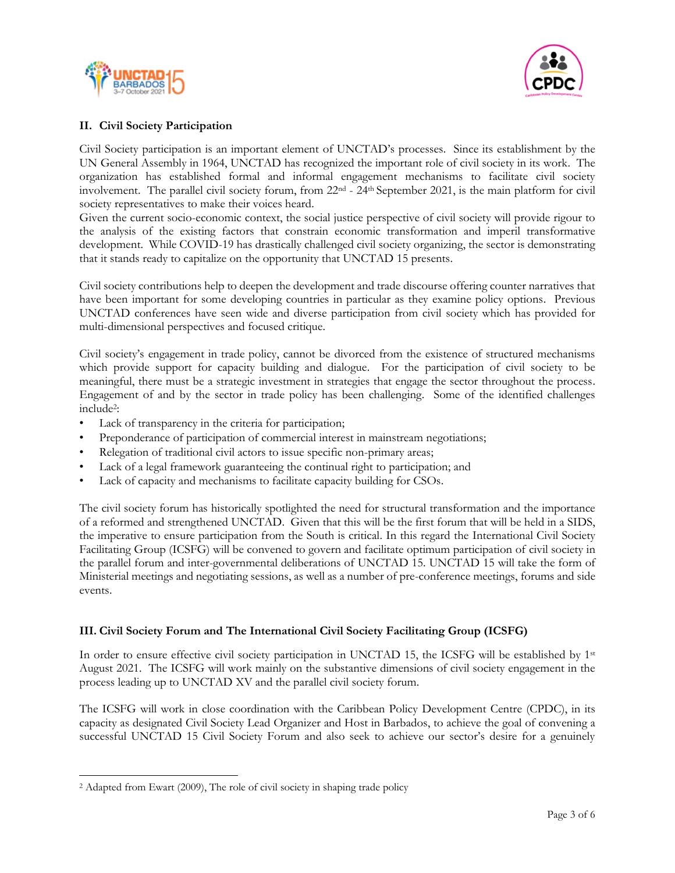



### **II. Civil Society Participation**

Civil Society participation is an important element of UNCTAD's processes. Since its establishment by the UN General Assembly in 1964, UNCTAD has recognized the important role of civil society in its work. The organization has established formal and informal engagement mechanisms to facilitate civil society involvement. The parallel civil society forum, from 22nd - 24th September 2021, is the main platform for civil society representatives to make their voices heard.

Given the current socio-economic context, the social justice perspective of civil society will provide rigour to the analysis of the existing factors that constrain economic transformation and imperil transformative development. While COVID-19 has drastically challenged civil society organizing, the sector is demonstrating that it stands ready to capitalize on the opportunity that UNCTAD 15 presents.

Civil society contributions help to deepen the development and trade discourse offering counter narratives that have been important for some developing countries in particular as they examine policy options. Previous UNCTAD conferences have seen wide and diverse participation from civil society which has provided for multi-dimensional perspectives and focused critique.

Civil society's engagement in trade policy, cannot be divorced from the existence of structured mechanisms which provide support for capacity building and dialogue. For the participation of civil society to be meaningful, there must be a strategic investment in strategies that engage the sector throughout the process. Engagement of and by the sector in trade policy has been challenging. Some of the identified challenges include<sup>2</sup> :

- Lack of transparency in the criteria for participation;
- Preponderance of participation of commercial interest in mainstream negotiations;
- Relegation of traditional civil actors to issue specific non-primary areas;
- Lack of a legal framework guaranteeing the continual right to participation; and
- Lack of capacity and mechanisms to facilitate capacity building for CSOs.

The civil society forum has historically spotlighted the need for structural transformation and the importance of a reformed and strengthened UNCTAD. Given that this will be the first forum that will be held in a SIDS, the imperative to ensure participation from the South is critical. In this regard the International Civil Society Facilitating Group (ICSFG) will be convened to govern and facilitate optimum participation of civil society in the parallel forum and inter-governmental deliberations of UNCTAD 15. UNCTAD 15 will take the form of Ministerial meetings and negotiating sessions, as well as a number of pre-conference meetings, forums and side events.

### **III. Civil Society Forum and The International Civil Society Facilitating Group (ICSFG)**

In order to ensure effective civil society participation in UNCTAD 15, the ICSFG will be established by  $1<sup>st</sup>$ August 2021. The ICSFG will work mainly on the substantive dimensions of civil society engagement in the process leading up to UNCTAD XV and the parallel civil society forum.

The ICSFG will work in close coordination with the Caribbean Policy Development Centre (CPDC), in its capacity as designated Civil Society Lead Organizer and Host in Barbados, to achieve the goal of convening a successful UNCTAD 15 Civil Society Forum and also seek to achieve our sector's desire for a genuinely

 $\overline{a}$ 

<sup>&</sup>lt;sup>2</sup> Adapted from Ewart (2009), The role of civil society in shaping trade policy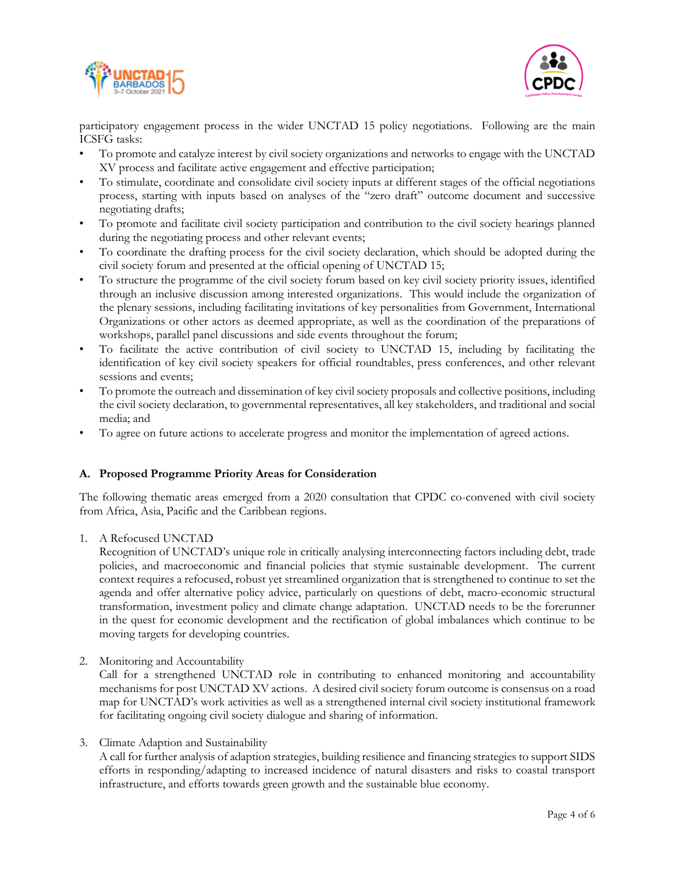



participatory engagement process in the wider UNCTAD 15 policy negotiations. Following are the main ICSFG tasks:

- To promote and catalyze interest by civil society organizations and networks to engage with the UNCTAD XV process and facilitate active engagement and effective participation;
- To stimulate, coordinate and consolidate civil society inputs at different stages of the official negotiations process, starting with inputs based on analyses of the "zero draft" outcome document and successive negotiating drafts;
- To promote and facilitate civil society participation and contribution to the civil society hearings planned during the negotiating process and other relevant events;
- To coordinate the drafting process for the civil society declaration, which should be adopted during the civil society forum and presented at the official opening of UNCTAD 15;
- To structure the programme of the civil society forum based on key civil society priority issues, identified through an inclusive discussion among interested organizations. This would include the organization of the plenary sessions, including facilitating invitations of key personalities from Government, International Organizations or other actors as deemed appropriate, as well as the coordination of the preparations of workshops, parallel panel discussions and side events throughout the forum;
- To facilitate the active contribution of civil society to UNCTAD 15, including by facilitating the identification of key civil society speakers for official roundtables, press conferences, and other relevant sessions and events;
- To promote the outreach and dissemination of key civil society proposals and collective positions, including the civil society declaration, to governmental representatives, all key stakeholders, and traditional and social media; and
- To agree on future actions to accelerate progress and monitor the implementation of agreed actions.

### **A. Proposed Programme Priority Areas for Consideration**

The following thematic areas emerged from a 2020 consultation that CPDC co-convened with civil society from Africa, Asia, Pacific and the Caribbean regions.

1. A Refocused UNCTAD

Recognition of UNCTAD's unique role in critically analysing interconnecting factors including debt, trade policies, and macroeconomic and financial policies that stymie sustainable development. The current context requires a refocused, robust yet streamlined organization that is strengthened to continue to set the agenda and offer alternative policy advice, particularly on questions of debt, macro-economic structural transformation, investment policy and climate change adaptation. UNCTAD needs to be the forerunner in the quest for economic development and the rectification of global imbalances which continue to be moving targets for developing countries.

2. Monitoring and Accountability

Call for a strengthened UNCTAD role in contributing to enhanced monitoring and accountability mechanisms for post UNCTAD XV actions. A desired civil society forum outcome is consensus on a road map for UNCTAD's work activities as well as a strengthened internal civil society institutional framework for facilitating ongoing civil society dialogue and sharing of information.

3. Climate Adaption and Sustainability

A call for further analysis of adaption strategies, building resilience and financing strategies to support SIDS efforts in responding/adapting to increased incidence of natural disasters and risks to coastal transport infrastructure, and efforts towards green growth and the sustainable blue economy.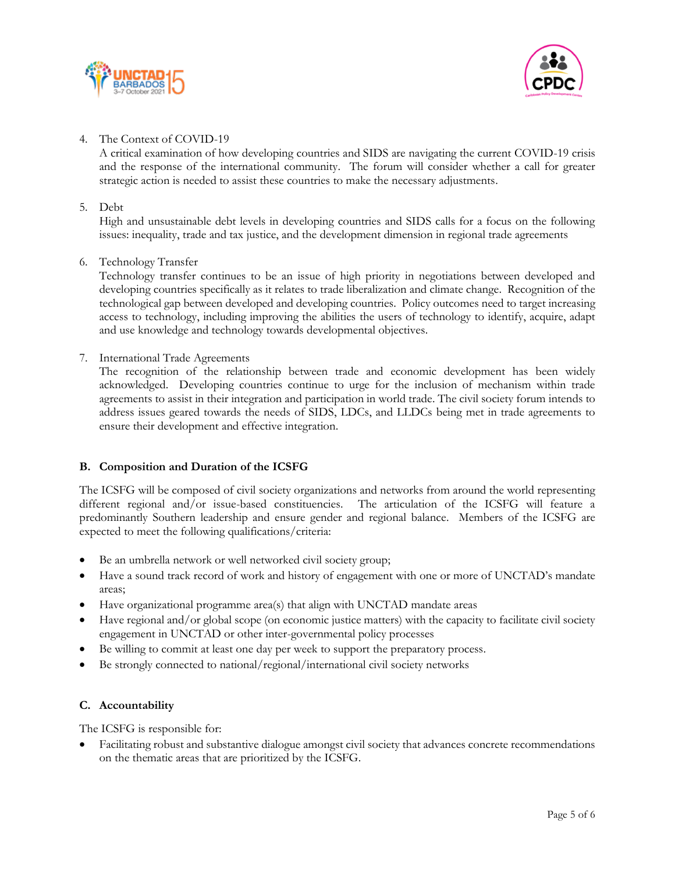



### 4. The Context of COVID-19

A critical examination of how developing countries and SIDS are navigating the current COVID-19 crisis and the response of the international community. The forum will consider whether a call for greater strategic action is needed to assist these countries to make the necessary adjustments.

#### 5. Debt

High and unsustainable debt levels in developing countries and SIDS calls for a focus on the following issues: inequality, trade and tax justice, and the development dimension in regional trade agreements

#### 6. Technology Transfer

Technology transfer continues to be an issue of high priority in negotiations between developed and developing countries specifically as it relates to trade liberalization and climate change. Recognition of the technological gap between developed and developing countries. Policy outcomes need to target increasing access to technology, including improving the abilities the users of technology to identify, acquire, adapt and use knowledge and technology towards developmental objectives.

#### 7. International Trade Agreements

The recognition of the relationship between trade and economic development has been widely acknowledged. Developing countries continue to urge for the inclusion of mechanism within trade agreements to assist in their integration and participation in world trade. The civil society forum intends to address issues geared towards the needs of SIDS, LDCs, and LLDCs being met in trade agreements to ensure their development and effective integration.

### **B. Composition and Duration of the ICSFG**

The ICSFG will be composed of civil society organizations and networks from around the world representing different regional and/or issue-based constituencies. The articulation of the ICSFG will feature a predominantly Southern leadership and ensure gender and regional balance. Members of the ICSFG are expected to meet the following qualifications/criteria:

- Be an umbrella network or well networked civil society group;
- Have a sound track record of work and history of engagement with one or more of UNCTAD's mandate areas;
- Have organizational programme area(s) that align with UNCTAD mandate areas
- Have regional and/or global scope (on economic justice matters) with the capacity to facilitate civil society engagement in UNCTAD or other inter-governmental policy processes
- Be willing to commit at least one day per week to support the preparatory process.
- Be strongly connected to national/regional/international civil society networks

### **C. Accountability**

The ICSFG is responsible for:

• Facilitating robust and substantive dialogue amongst civil society that advances concrete recommendations on the thematic areas that are prioritized by the ICSFG.